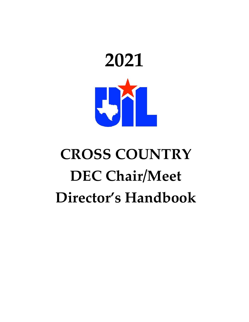

# **CROSS COUNTRY DEC Chair/Meet Director's Handbook**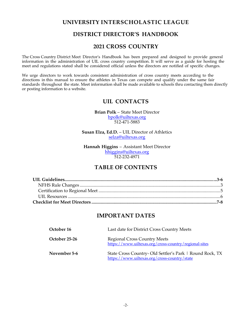### **UNIVERSITY INTERSCHOLASTIC LEAGUE**

## **DISTRICT DIRECTOR'S HANDBOOK**

## **2021 CROSS COUNTRY**

The Cross Country District Meet Director's Handbook has been prepared and designed to provide general information in the administration of UIL cross country competition. It will serve as a guide for hosting the meet and regulations stated shall be considered official unless the directors are notified of specific changes.

We urge directors to work towards consistent administration of cross country meets according to the directions in this manual to ensure the athletes in Texas can compete and qualify under the same fair standards throughout the state. Meet information shall be made available to schools thru contacting them directly or posting information to a website.

## **UIL CONTACTS**

#### **Brian Polk** – State Meet Director bpolk@uiltexas.org

512-471-5883

**Susan Elza, Ed.D.** – UIL Director of Athletics selza@uiltexas.org

**Hannah Higgins** – Assistant Meet Director hhiggins@uiltexas.org 512-232-4971

# **TABLE OF CONTENTS**

## **IMPORTANT DATES**

| October 16    | Last date for District Cross Country Meets                                                              |
|---------------|---------------------------------------------------------------------------------------------------------|
| October 25-26 | <b>Regional Cross Country Meets</b><br>https://www.uiltexas.org/cross-country/regional-sites            |
| November 5-6  | State Cross Country-Old Settler's Park   Round Rock, TX<br>https://www.uiltexas.org/cross-country/state |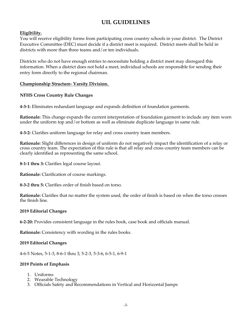# **UIL GUIDELINES**

#### **Eligibility.**

You will receive eligibility forms from participating cross country schools in your district. The District Executive Committee (DEC) must decide if a district meet is required. District meets shall be held in districts with more than three teams and/or ten individuals.

Districts who do not have enough entries to necessitate holding a district meet may disregard this information. When a district does not hold a meet, individual schools are responsible for sending their entry form directly to the regional chairman.

#### **Championship Structure- Varsity Division.**

#### **NFHS Cross Country Rule Changes**

**4-3-1:** Eliminates redundant language and expands definition of foundation garments.

**Rationale:** This change expands the current interpretation of foundation garment to include any item worn under the uniform top and/or bottom as well as eliminate duplicate language in same rule.

**4-3-2:** Clarifies uniform language for relay and cross country team members.

**Rationale:** Slight differences in design of uniform do not negatively impact the identification of a relay or cross country team. The expectation of this rule is that all relay and cross country team members can be clearly identified as representing the same school.

**8-1-1 thru 3:** Clarifies legal course layout.

**Rationale:** Clarification of course markings.

**8-3-2 thru 5:** Clarifies order of finish based on torso.

**Rationale:** Clarifies that no matter the system used, the order of finish is based on when the torso crosses the finish line.

#### **2019 Editorial Changes**

**6-2-20:** Provides consistent language in the rules book, case book and officials manual.

**Rationale:** Consistency with wording in the rules books.

#### **2019 Editorial Changes**

4-6-5 Notes, 5-1-3, 8-6-1 thru 3, 5-2-3, 5-3-6, 6-5-1, 6-9-1

#### **2019 Points of Emphasis**

- 1. Uniforms
- 2. Wearable Technology
- 3. Officials Safety and Recommendations in Vertical and Horizontal Jumps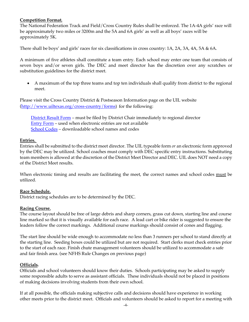#### **Competition Format.**

The National Federation Track and Field/Cross Country Rules shall be enforced. The 1A-4A girls' race will be approximately two miles or 3200m and the 5A and 6A girls' as well as all boys' races will be approximately 5K.

There shall be boys' and girls' races for six classifications in cross country: 1A, 2A, 3A, 4A, 5A & 6A.

A minimum of five athletes shall constitute a team entry. Each school may enter one team that consists of seven boys and/or seven girls. The DEC and meet director has the discretion over any scratches or substitution guidelines for the district meet.

• A maximum of the top three teams and top ten individuals shall qualify from district to the regional meet.

Please visit the Cross Country District & Postseason Information page on the UIL website (http://www.uiltexas.org/cross-country/forms) for the following:

District Result Form – must be filed by District Chair immediately to regional director Entry Form – used when electronic entries are not available School Codes - downloadable school names and codes

#### **Entries.**

Entries shall be submitted to the district meet director. The UIL typeable form *or* an electronic form approved by the DEC may be utilized. School coaches must comply with DEC specific entry instructions. Substituting team members is allowed at the discretion of the District Meet Director and DEC. UIL does NOT need a copy of the District Meet results.

When electronic timing and results are facilitating the meet, the correct names and school codes must be utilized.

#### **Race Schedule.**

District racing schedules are to be determined by the DEC.

#### **Racing Course.**

The course layout should be free of large debris and sharp corners, grass cut down, starting line and course line marked so that it is visually available for each race. A lead cart or bike rider is suggested to ensure the leaders follow the correct markings. Additional course markings should consist of cones and flagging.

The start line should be wide enough to accommodate no less than 3 runners per school to stand directly at the starting line. Seeding boxes could be utilized but are not required. Start clerks must check entries prior to the start of each race. Finish chute management volunteers should be utilized to accommodate a safe and fair finish area. (see NFHS Rule Changes on previous page)

#### **Officials.**

Officials and school volunteers should know their duties. Schools participating may be asked to supply some responsible adults to serve as assistant officials. These individuals should not be placed in positions of making decisions involving students from their own school.

If at all possible, the officials making subjective calls and decisions should have experience in working other meets prior to the district meet. Officials and volunteers should be asked to report for a meeting with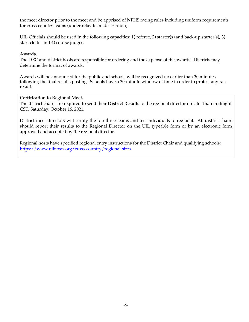the meet director prior to the meet and be apprised of NFHS racing rules including uniform requirements for cross country teams (under relay team description).

UIL Officials should be used in the following capacities: 1) referee, 2) starter(s) and back-up starter(s), 3) start clerks and 4) course judges.

#### **Awards.**

The DEC and district hosts are responsible for ordering and the expense of the awards. Districts may determine the format of awards.

Awards will be announced for the public and schools will be recognized no earlier than 30 minutes following the final results posting. Schools have a 30-minute window of time in order to protest any race result.

#### **Certification to Regional Meet.**

The district chairs are required to send their **District Results** to the regional director no later than midnight CST, Saturday, October 16, 2021.

District meet directors will certify the top three teams and ten individuals to regional. All district chairs should report their results to the Regional Director on the UIL typeable form or by an electronic form approved and accepted by the regional director.

Regional hosts have specified regional entry instructions for the District Chair and qualifying schools: https://www.uiltexas.org/cross-country/regional-sites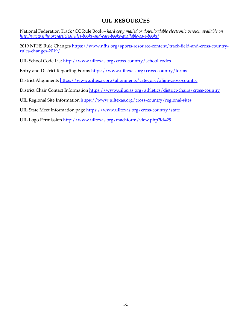# **UIL RESOURCES**

National Federation Track/CC Rule Book *– hard copy mailed or downloadable electronic version available on http://www.nfhs.org/articles/rules-books-and-case-books-available-as-e-books/*

2019 NFHS Rule Changes https://www.nfhs.org/sports-resource-content/track-field-and-cross-countryrules-changes-2019/

UIL School Code List http://www.uiltexas.org/cross-country/school-codes

Entry and District Reporting Forms https://www.uiltexas.org/cross-country/forms

District Alignments https://www.uiltexas.org/alignments/category/align-cross-country

District Chair Contact Information https://www.uiltexas.org/athletics/district-chairs/cross-country

UIL Regional Site Information https://www.uiltexas.org/cross-country/regional-sites

UIL State Meet Information page https://www.uiltexas.org/cross-country/state

UIL Logo Permission http://www.uiltexas.org/machform/view.php?id=29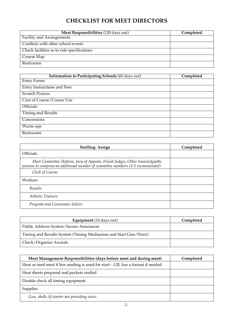# **CHECKLIST FOR MEET DIRECTORS**

| Meet Responsibilities (120 days out)       | Completed |
|--------------------------------------------|-----------|
| <b>Facility and Arrangements</b>           |           |
| Conflicts with other school events         |           |
| Check facilities as to rule specifications |           |
| Course Map                                 |           |
| Restrooms                                  |           |

| Information to Participating Schools (60 days out) | Completed |
|----------------------------------------------------|-----------|
| <b>Entry Forms</b>                                 |           |
| <b>Entry Instructions and Fees</b>                 |           |
| <b>Scratch Process</b>                             |           |
| Care of Course/Course Use                          |           |
| <b>Officials</b>                                   |           |
| <b>Timing and Results</b>                          |           |
| Concessions                                        |           |
| Warm-ups                                           |           |
| Restrooms                                          |           |

| <b>Staffing-Assign</b>                                                                                                                                          | Completed |
|-----------------------------------------------------------------------------------------------------------------------------------------------------------------|-----------|
| <b>Officials</b>                                                                                                                                                |           |
| Meet Committee (Referee, Jury of Appeals, Finish Judges, Other knowledgeable<br>persons to comprise an additional number of committee members (3-5 recommended) |           |
| Clerk of Course                                                                                                                                                 |           |
| Workers                                                                                                                                                         |           |
| Results                                                                                                                                                         |           |
| Athletic Trainers                                                                                                                                               |           |
| Program and Concession Sellers                                                                                                                                  |           |

| Equipment (14 days out)                                         | Completed |
|-----------------------------------------------------------------|-----------|
| Public Address System/Secure Announcer                          |           |
| Timing and Results System (Timing Mechanism and Start Gun/Horn) |           |
| Check/Organize Awards                                           |           |

| Meet Management Responsibilities (days before meet and during meet)             | Completed |
|---------------------------------------------------------------------------------|-----------|
| Heat or seed meet if box seeding is used for start - UIL has a format if needed |           |
| Heat sheets prepared and packets stuffed                                        |           |
| Double check all timing equipment                                               |           |
| <b>Supplies</b>                                                                 |           |
| Gun, shells (if starter not providing own)                                      |           |